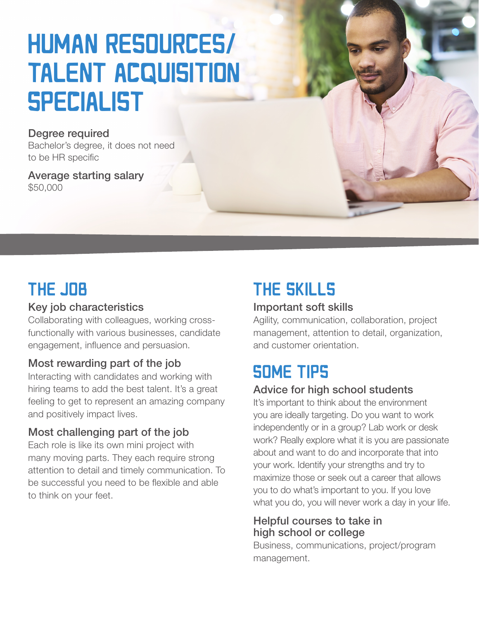# **HUMAN RESOURCES/** TALENT ACQUISITION **SPECIALIST**

#### Degree required

Bachelor's degree, it does not need to be HR specific

Average starting salary \$50,000

# THE JOB

#### Key job characteristics

Collaborating with colleagues, working crossfunctionally with various businesses, candidate engagement, influence and persuasion.

#### Most rewarding part of the job

Interacting with candidates and working with hiring teams to add the best talent. It's a great feeling to get to represent an amazing company and positively impact lives.

#### Most challenging part of the job

Each role is like its own mini project with many moving parts. They each require strong attention to detail and timely communication. To be successful you need to be flexible and able to think on your feet.

# **THE SKILLS**

#### Important soft skills

Agility, communication, collaboration, project management, attention to detail, organization, and customer orientation.

### **SOME TIPS**

#### Advice for high school students

It's important to think about the environment you are ideally targeting. Do you want to work independently or in a group? Lab work or desk work? Really explore what it is you are passionate about and want to do and incorporate that into your work. Identify your strengths and try to maximize those or seek out a career that allows you to do what's important to you. If you love what you do, you will never work a day in your life.

#### Helpful courses to take in high school or college

Business, communications, project/program management.